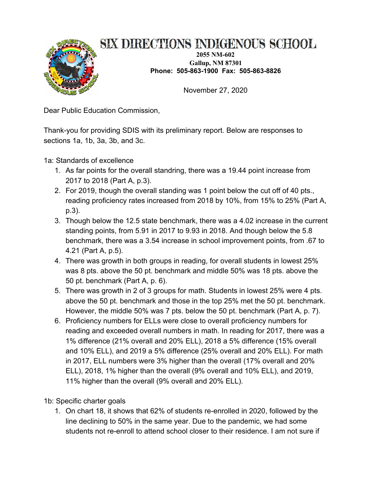

## SIX DIRECTIONS INDIGENOUS SCHOOL

**2055 NM-602 Gallup, NM 87301 Phone: 505-863-1900 Fax: 505-863-8826**

November 27, 2020

Dear Public Education Commission,

Thank-you for providing SDIS with its preliminary report. Below are responses to sections 1a, 1b, 3a, 3b, and 3c.

1a: Standards of excellence

- 1. As far points for the overall standring, there was a 19.44 point increase from 2017 to 2018 (Part A, p.3).
- 2. For 2019, though the overall standing was 1 point below the cut off of 40 pts., reading proficiency rates increased from 2018 by 10%, from 15% to 25% (Part A, p.3).
- 3. Though below the 12.5 state benchmark, there was a 4.02 increase in the current standing points, from 5.91 in 2017 to 9.93 in 2018. And though below the 5.8 benchmark, there was a 3.54 increase in school improvement points, from .67 to 4.21 (Part A, p.5).
- 4. There was growth in both groups in reading, for overall students in lowest 25% was 8 pts. above the 50 pt. benchmark and middle 50% was 18 pts. above the 50 pt. benchmark (Part A, p. 6).
- 5. There was growth in 2 of 3 groups for math. Students in lowest 25% were 4 pts. above the 50 pt. benchmark and those in the top 25% met the 50 pt. benchmark. However, the middle 50% was 7 pts. below the 50 pt. benchmark (Part A, p. 7).
- 6. Proficiency numbers for ELLs were close to overall proficiency numbers for reading and exceeded overall numbers in math. In reading for 2017, there was a 1% difference (21% overall and 20% ELL), 2018 a 5% difference (15% overall and 10% ELL), and 2019 a 5% difference (25% overall and 20% ELL). For math in 2017, ELL numbers were 3% higher than the overall (17% overall and 20% ELL), 2018, 1% higher than the overall (9% overall and 10% ELL), and 2019, 11% higher than the overall (9% overall and 20% ELL).
- 1b: Specific charter goals
	- 1. On chart 18, it shows that 62% of students re-enrolled in 2020, followed by the line declining to 50% in the same year. Due to the pandemic, we had some students not re-enroll to attend school closer to their residence. I am not sure if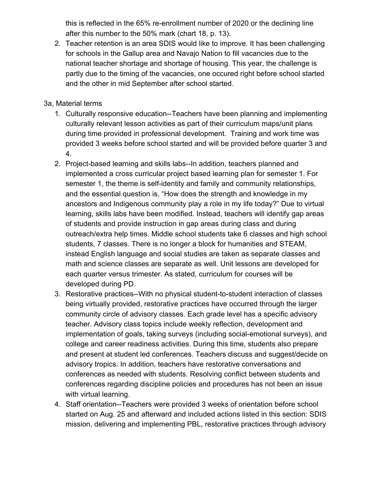this is reflected in the 65% re-enrollment number of 2020 or the declining line after this number to the 50% mark (chart 18, p. 13).

2. Teacher retention is an area SDIS would like to improve. It has been challenging for schools in the Gallup area and Navajo Nation to fill vacancies due to the national teacher shortage and shortage of housing. This year, the challenge is partly due to the timing of the vacancies, one occured right before school started and the other in mid September after school started.

## 3a, Material terms

- 1. Culturally responsive education--Teachers have been planning and implementing culturally relevant lesson activities as part of their curriculum maps/unit plans during time provided in professional development. Training and work time was provided 3 weeks before school started and will be provided before quarter 3 and 4.
- 2. Project-based learning and skills labs--In addition, teachers planned and implemented a cross curricular project based learning plan for semester 1. For semester 1, the theme is self-identity and family and community relationships, and the essential question is, "How does the strength and knowledge in my ancestors and Indigenous community play a role in my life today?" Due to virtual learning, skills labs have been modified. Instead, teachers will identify gap areas of students and provide instruction in gap areas during class and during outreach/extra help times. Middle school students take 6 classes and high school students, 7 classes. There is no longer a block for humanities and STEAM, instead English language and social studies are taken as separate classes and math and science classes are separate as well. Unit lessons are developed for each quarter versus trimester. As stated, curriculum for courses will be developed during PD.
- 3. Restorative practices--With no physical student-to-student interaction of classes being virtually provided, restorative practices have occurred through the larger community circle of advisory classes. Each grade level has a specific advisory teacher. Advisory class topics include weekly reflection, development and implementation of goals, taking surveys (including social-emotional surveys), and college and career readiness activities. During this time, students also prepare and present at student led conferences. Teachers discuss and suggest/decide on advisory tropics. In addition, teachers have restorative conversations and conferences as needed with students. Resolving conflict between students and conferences regarding discipline policies and procedures has not been an issue with virtual learning.
- 4. Staff orientation--Teachers were provided 3 weeks of orientation before school started on Aug. 25 and afterward and included actions listed in this section: SDIS mission, delivering and implementing PBL, restorative practices through advisory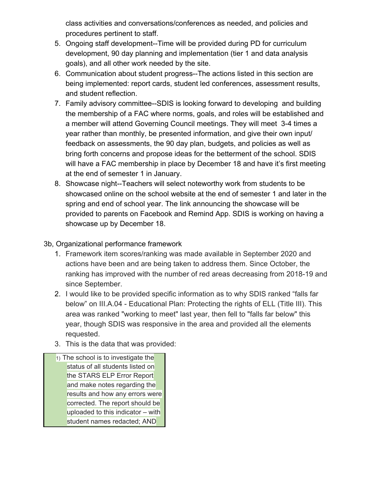class activities and conversations/conferences as needed, and policies and procedures pertinent to staff.

- 5. Ongoing staff development--Time will be provided during PD for curriculum development, 90 day planning and implementation (tier 1 and data analysis goals), and all other work needed by the site.
- 6. Communication about student progress--The actions listed in this section are being implemented: report cards, student led conferences, assessment results, and student reflection.
- 7. Family advisory committee--SDIS is looking forward to developing and building the membership of a FAC where norms, goals, and roles will be established and a member will attend Governing Council meetings. They will meet 3-4 times a year rather than monthly, be presented information, and give their own input/ feedback on assessments, the 90 day plan, budgets, and policies as well as bring forth concerns and propose ideas for the betterment of the school. SDIS will have a FAC membership in place by December 18 and have it's first meeting at the end of semester 1 in January.
- 8. Showcase night--Teachers will select noteworthy work from students to be showcased online on the school website at the end of semester 1 and later in the spring and end of school year. The link announcing the showcase will be provided to parents on Facebook and Remind App. SDIS is working on having a showcase up by December 18.

## 3b, Organizational performance framework

- 1. Framework item scores/ranking was made available in September 2020 and actions have been and are being taken to address them. Since October, the ranking has improved with the number of red areas decreasing from 2018-19 and since September.
- 2. I would like to be provided specific information as to why SDIS ranked "falls far below" on III.A.04 - Educational Plan: Protecting the rights of ELL (Title III). This area was ranked "working to meet" last year, then fell to "falls far below" this year, though SDIS was responsive in the area and provided all the elements requested.
- 3. This is the data that was provided:
- 1) The school is to investigate the status of all students listed on the STARS ELP Error Report and make notes regarding the results and how any errors were corrected. The report should be uploaded to this indicator  $-$  with student names redacted; AND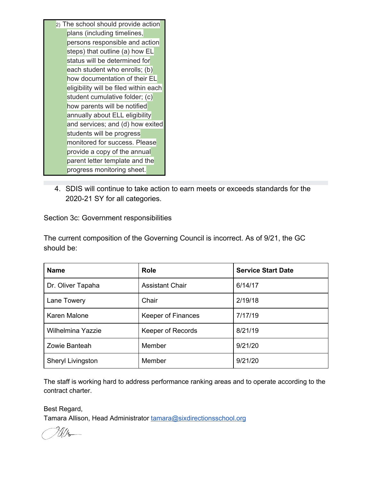- 2) The school should provide action plans (including timelines, persons responsible and action steps) that outline (a) how EL status will be determined for each student who enrolls; (b) how documentation of their EL eligibility will be filed within each student cumulative folder; (c) how parents will be notified annually about ELL eligibility and services; and (d) how exited students will be progress monitored for success. Please provide a copy of the annual parent letter template and the progress monitoring sheet.
- 4. SDIS will continue to take action to earn meets or exceeds standards for the 2020-21 SY for all categories.

Section 3c: Government responsibilities

The current composition of the Governing Council is incorrect. As of 9/21, the GC should be:

| <b>Name</b>         | <b>Role</b>               | <b>Service Start Date</b> |
|---------------------|---------------------------|---------------------------|
| Dr. Oliver Tapaha   | <b>Assistant Chair</b>    | 6/14/17                   |
| Lane Towery         | Chair                     | 2/19/18                   |
| <b>Karen Malone</b> | <b>Keeper of Finances</b> | 7/17/19                   |
| Wilhelmina Yazzie   | Keeper of Records         | 8/21/19                   |
| Zowie Banteah       | Member                    | 9/21/20                   |
| Sheryl Livingston   | Member                    | 9/21/20                   |

The staff is working hard to address performance ranking areas and to operate according to the contract charter.

Best Regard, Tamara Allison, Head Administrator [tamara@sixdirectionsschool.org](mailto:tamara@sixdirectionsschool.org)

 $\mathbb{W}_{\mathbb{A}}$